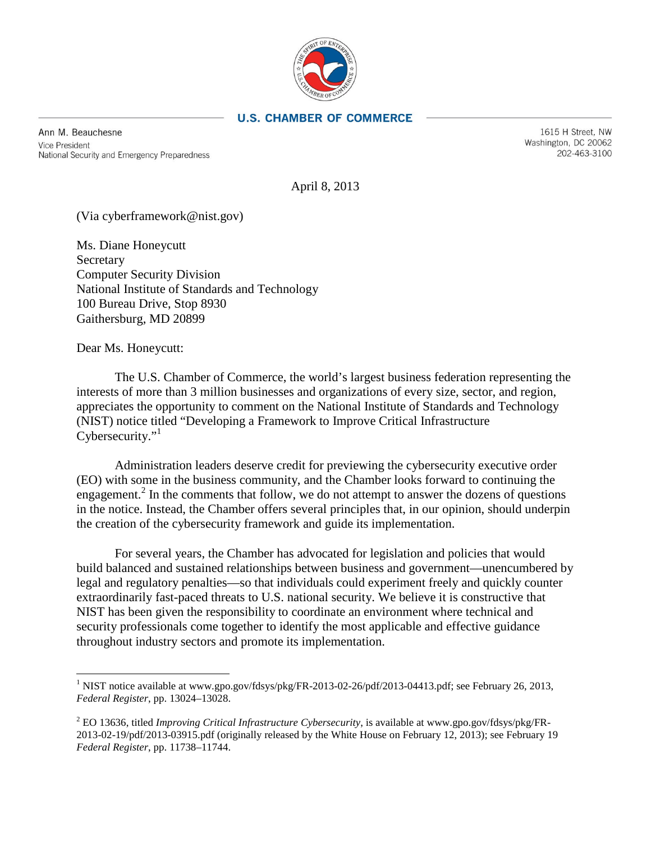

#### **U.S. CHAMBER OF COMMERCE**

Ann M. Beauchesne **Vice President** National Security and Emergency Preparedness

1615 H Street, NW Washington, DC 20062 202-463-3100

April 8, 2013

(Via cyberframework@nist.gov)

Ms. Diane Honeycutt Secretary Computer Security Division National Institute of Standards and Technology 100 Bureau Drive, Stop 8930 Gaithersburg, MD 20899

Dear Ms. Honeycutt:

The U.S. Chamber of Commerce, the world's largest business federation representing the interests of more than 3 million businesses and organizations of every size, sector, and region, appreciates the opportunity to comment on the National Institute of Standards and Technology (NIST) notice titled "Developing a Framework to Improve Critical Infrastructure Cybersecurity."

Administration leaders deserve credit for previewing the cybersecurity executive order (EO) with some in the business community, and the Chamber looks forward to continuing the engagement.<sup>2</sup> In the comments that follow, we do not attempt to answer the dozens of questions in the notice. Instead, the Chamber offers several principles that, in our opinion, should underpin the creation of the cybersecurity framework and guide its implementation.

For several years, the Chamber has advocated for legislation and policies that would build balanced and sustained relationships between business and government—unencumbered by legal and regulatory penalties—so that individuals could experiment freely and quickly counter extraordinarily fast-paced threats to U.S. national security. We believe it is constructive that NIST has been given the responsibility to coordinate an environment where technical and security professionals come together to identify the most applicable and effective guidance throughout industry sectors and promote its implementation.

<span id="page-0-0"></span><sup>&</sup>lt;sup>1</sup> NIST notice available at www.gpo.gov/fdsys/pkg/FR-2013-02-26/pdf/2013-04413.pdf; see February 26, 2013, *Federal Register*, pp. 13024–13028.

<span id="page-0-1"></span><sup>2</sup> EO 13636, titled *Improving Critical Infrastructure Cybersecurity*, is available at www.gpo.gov/fdsys/pkg/FR-2013-02-19/pdf/2013-03915.pdf (originally released by the White House on February 12, 2013); see February 19 *Federal Register*, pp. 11738–11744.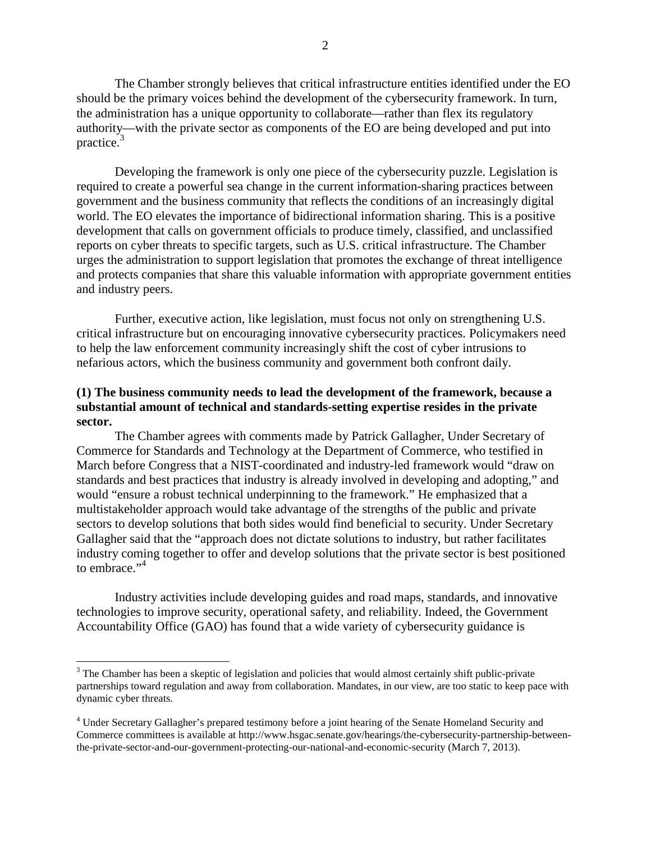The Chamber strongly believes that critical infrastructure entities identified under the EO should be the primary voices behind the development of the cybersecurity framework. In turn, the administration has a unique opportunity to collaborate—rather than flex its regulatory authority—with the private sector as components of the EO are being developed and put into practice. $3$ 

Developing the framework is only one piece of the cybersecurity puzzle. Legislation is required to create a powerful sea change in the current information-sharing practices between government and the business community that reflects the conditions of an increasingly digital world. The EO elevates the importance of bidirectional information sharing. This is a positive development that calls on government officials to produce timely, classified, and unclassified reports on cyber threats to specific targets, such as U.S. critical infrastructure. The Chamber urges the administration to support legislation that promotes the exchange of threat intelligence and protects companies that share this valuable information with appropriate government entities and industry peers.

Further, executive action, like legislation, must focus not only on strengthening U.S. critical infrastructure but on encouraging innovative cybersecurity practices. Policymakers need to help the law enforcement community increasingly shift the cost of cyber intrusions to nefarious actors, which the business community and government both confront daily.

### **(1) The business community needs to lead the development of the framework, because a substantial amount of technical and standards-setting expertise resides in the private sector.**

The Chamber agrees with comments made by Patrick Gallagher, Under Secretary of Commerce for Standards and Technology at the Department of Commerce, who testified in March before Congress that a NIST-coordinated and industry-led framework would "draw on standards and best practices that industry is already involved in developing and adopting," and would "ensure a robust technical underpinning to the framework." He emphasized that a multistakeholder approach would take advantage of the strengths of the public and private sectors to develop solutions that both sides would find beneficial to security. Under Secretary Gallagher said that the "approach does not dictate solutions to industry, but rather facilitates industry coming together to offer and develop solutions that the private sector is best positioned to embrace."<sup>4</sup>

Industry activities include developing guides and road maps, standards, and innovative technologies to improve security, operational safety, and reliability. Indeed, the Government Accountability Office (GAO) has found that a wide variety of cybersecurity guidance is

<span id="page-1-0"></span><sup>&</sup>lt;sup>3</sup> The Chamber has been a skeptic of legislation and policies that would almost certainly shift public-private partnerships toward regulation and away from collaboration. Mandates, in our view, are too static to keep pace with dynamic cyber threats.

<span id="page-1-1"></span><sup>4</sup> Under Secretary Gallagher's prepared testimony before a joint hearing of the Senate Homeland Security and Commerce committees is available at http://www.hsgac.senate.gov/hearings/the-cybersecurity-partnership-betweenthe-private-sector-and-our-government-protecting-our-national-and-economic-security (March 7, 2013).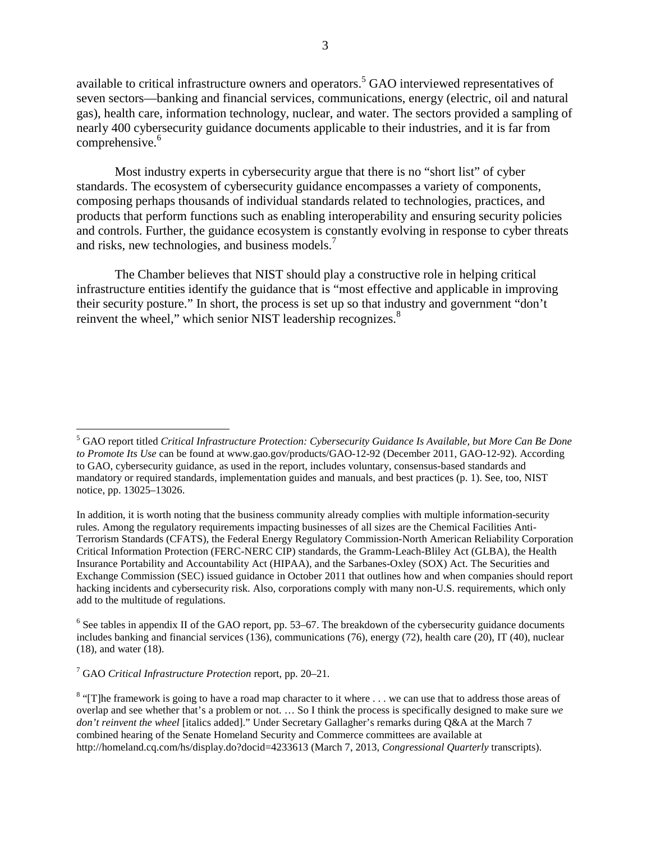available to critical infrastructure owners and operators.<sup>5</sup> GAO interviewed representatives of seven sectors—banking and financial services, communications, energy (electric, oil and natural gas), health care, information technology, nuclear, and water. The sectors provided a sampling of nearly 400 cybersecurity guidance documents applicable to their industries, and it is far from comprehensive.<sup>6</sup>

Most industry experts in cybersecurity argue that there is no "short list" of cyber standards. The ecosystem of cybersecurity guidance encompasses a variety of components, composing perhaps thousands of individual standards related to technologies, practices, and products that perform functions such as enabling interoperability and ensuring security policies and controls. Further, the guidance ecosystem is constantly evolving in response to cyber threats and risks, new technologies, and business models.<sup>7</sup>

The Chamber believes that NIST should play a constructive role in helping critical infrastructure entities identify the guidance that is "most effective and applicable in improving their security posture." In short, the process is set up so that industry and government "don't reinvent the wheel," which senior NIST leadership recognizes.<sup>8</sup>

<span id="page-2-1"></span> $6$  See tables in appendix II of the GAO report, pp. 53–67. The breakdown of the cybersecurity guidance documents includes banking and financial services (136), communications (76), energy (72), health care (20), IT (40), nuclear (18), and water (18).

<span id="page-2-2"></span>7 GAO *Critical Infrastructure Protection* report, pp. 20–21.

<span id="page-2-0"></span><sup>5</sup> GAO report titled *Critical Infrastructure Protection: Cybersecurity Guidance Is Available, but More Can Be Done to Promote Its Use* can be found at www.gao.gov/products/GAO-12-92 (December 2011, GAO-12-92). According to GAO, cybersecurity guidance, as used in the report, includes voluntary, consensus-based standards and mandatory or required standards, implementation guides and manuals, and best practices (p. 1). See, too, NIST notice, pp. 13025–13026.

In addition, it is worth noting that the business community already complies with multiple information-security rules. Among the regulatory requirements impacting businesses of all sizes are the Chemical Facilities Anti-Terrorism Standards (CFATS), the Federal Energy Regulatory Commission-North American Reliability Corporation Critical Information Protection (FERC-NERC CIP) standards, the Gramm-Leach-Bliley Act (GLBA), the Health Insurance Portability and Accountability Act (HIPAA), and the Sarbanes-Oxley (SOX) Act. The Securities and Exchange Commission (SEC) issued guidance in October 2011 that outlines how and when companies should report hacking incidents and cybersecurity risk. Also, corporations comply with many non-U.S. requirements, which only add to the multitude of regulations.

<span id="page-2-3"></span><sup>&</sup>lt;sup>8</sup> "[T]he framework is going to have a road map character to it where . . . we can use that to address those areas of overlap and see whether that's a problem or not. … So I think the process is specifically designed to make sure *we don't reinvent the wheel* [italics added]." Under Secretary Gallagher's remarks during Q&A at the March 7 combined hearing of the Senate Homeland Security and Commerce committees are available at http://homeland.cq.com/hs/display.do?docid=4233613 (March 7, 2013, *Congressional Quarterly* transcripts).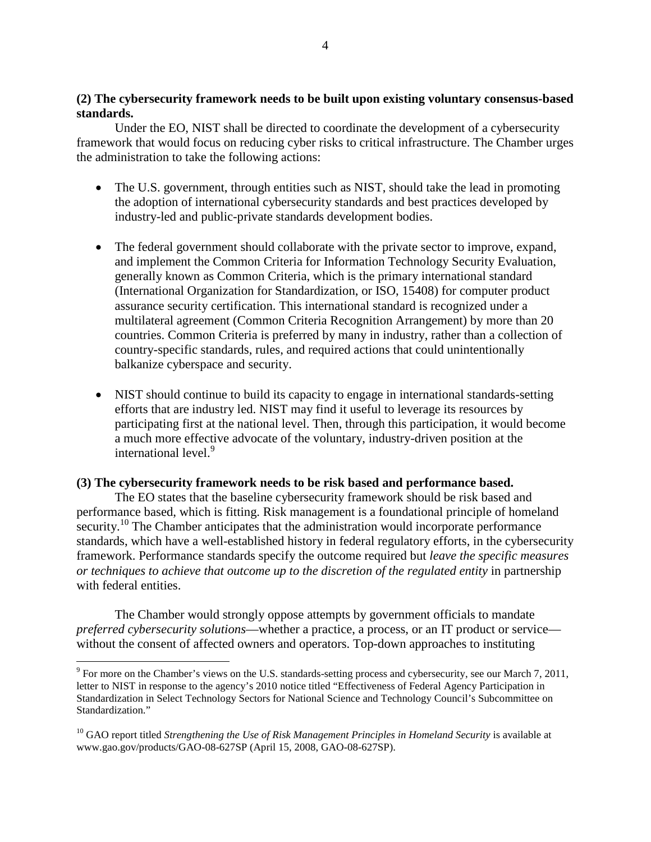### **(2) The cybersecurity framework needs to be built upon existing voluntary consensus-based standards.**

Under the EO, NIST shall be directed to coordinate the development of a cybersecurity framework that would focus on reducing cyber risks to critical infrastructure. The Chamber urges the administration to take the following actions:

- The U.S. government, through entities such as NIST, should take the lead in promoting the adoption of international cybersecurity standards and best practices developed by industry-led and public-private standards development bodies.
- The federal government should collaborate with the private sector to improve, expand, and implement the Common Criteria for Information Technology Security Evaluation, generally known as Common Criteria, which is the primary international standard (International Organization for Standardization, or ISO, 15408) for computer product assurance security certification. This international standard is recognized under a multilateral agreement (Common Criteria Recognition Arrangement) by more than 20 countries. Common Criteria is preferred by many in industry, rather than a collection of country-specific standards, rules, and required actions that could unintentionally balkanize cyberspace and security.
- NIST should continue to build its capacity to engage in international standards-setting efforts that are industry led. NIST may find it useful to leverage its resources by participating first at the national level. Then, through this participation, it would become a much more effective advocate of the voluntary, industry-driven position at the international level.<sup>9</sup>

### **(3) The cybersecurity framework needs to be risk based and performance based.**

The EO states that the baseline cybersecurity framework should be risk based and performance based, which is fitting. Risk management is a foundational principle of homeland security.<sup>10</sup> The Chamber anticipates that the administration would incorporate performance standards, which have a well-established history in federal regulatory efforts, in the cybersecurity framework. Performance standards specify the outcome required but *leave the specific measures or techniques to achieve that outcome up to the discretion of the regulated entity in partnership* with federal entities.

The Chamber would strongly oppose attempts by government officials to mandate *preferred cybersecurity solutions*—whether a practice, a process, or an IT product or service without the consent of affected owners and operators. Top-down approaches to instituting

<span id="page-3-0"></span><sup>9</sup> For more on the Chamber's views on the U.S. standards-setting process and cybersecurity, see our March 7, 2011, letter to NIST in response to the agency's 2010 notice titled "Effectiveness of Federal Agency Participation in Standardization in Select Technology Sectors for National Science and Technology Council's Subcommittee on Standardization."

<span id="page-3-1"></span><sup>&</sup>lt;sup>10</sup> GAO report titled *Strengthening the Use of Risk Management Principles in Homeland Security* is available at www.gao.gov/products/GAO-08-627SP (April 15, 2008, GAO-08-627SP).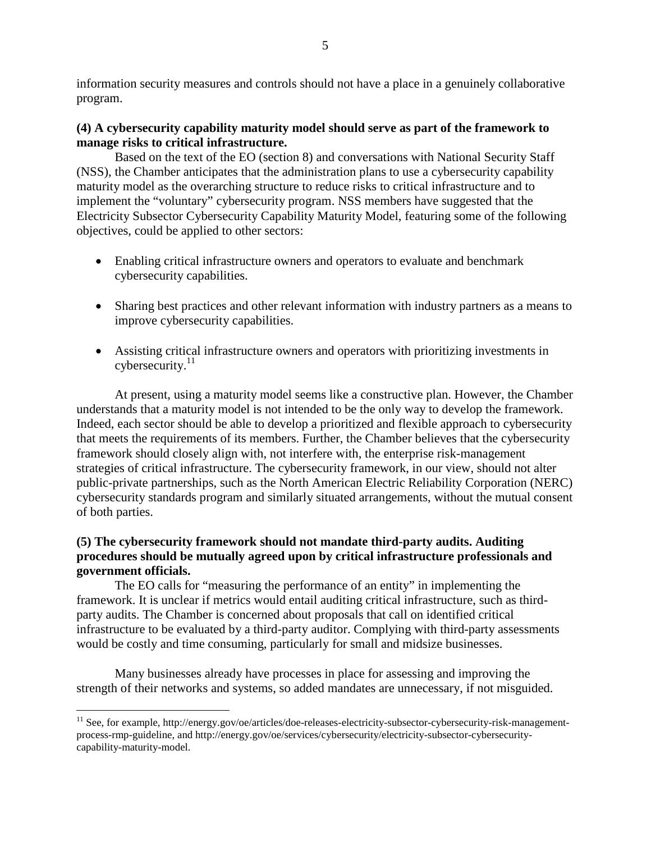information security measures and controls should not have a place in a genuinely collaborative program.

# **(4) A cybersecurity capability maturity model should serve as part of the framework to manage risks to critical infrastructure.**

Based on the text of the EO (section 8) and conversations with National Security Staff (NSS), the Chamber anticipates that the administration plans to use a cybersecurity capability maturity model as the overarching structure to reduce risks to critical infrastructure and to implement the "voluntary" cybersecurity program. NSS members have suggested that the Electricity Subsector Cybersecurity Capability Maturity Model, featuring some of the following objectives, could be applied to other sectors:

- Enabling critical infrastructure owners and operators to evaluate and benchmark cybersecurity capabilities.
- Sharing best practices and other relevant information with industry partners as a means to improve cybersecurity capabilities.
- Assisting critical infrastructure owners and operators with prioritizing investments in  $c$ ybersecurity.<sup>11</sup>

At present, using a maturity model seems like a constructive plan. However, the Chamber understands that a maturity model is not intended to be the only way to develop the framework. Indeed, each sector should be able to develop a prioritized and flexible approach to cybersecurity that meets the requirements of its members. Further, the Chamber believes that the cybersecurity framework should closely align with, not interfere with, the enterprise risk-management strategies of critical infrastructure. The cybersecurity framework, in our view, should not alter public-private partnerships, such as the North American Electric Reliability Corporation (NERC) cybersecurity standards program and similarly situated arrangements, without the mutual consent of both parties.

# **(5) The cybersecurity framework should not mandate third-party audits. Auditing procedures should be mutually agreed upon by critical infrastructure professionals and government officials.**

The EO calls for "measuring the performance of an entity" in implementing the framework. It is unclear if metrics would entail auditing critical infrastructure, such as thirdparty audits. The Chamber is concerned about proposals that call on identified critical infrastructure to be evaluated by a third-party auditor. Complying with third-party assessments would be costly and time consuming, particularly for small and midsize businesses.

Many businesses already have processes in place for assessing and improving the strength of their networks and systems, so added mandates are unnecessary, if not misguided.

<span id="page-4-0"></span> $11$  See, for example, http://energy.gov/oe/articles/doe-releases-electricity-subsector-cybersecurity-risk-managementprocess-rmp-guideline, and http://energy.gov/oe/services/cybersecurity/electricity-subsector-cybersecuritycapability-maturity-model.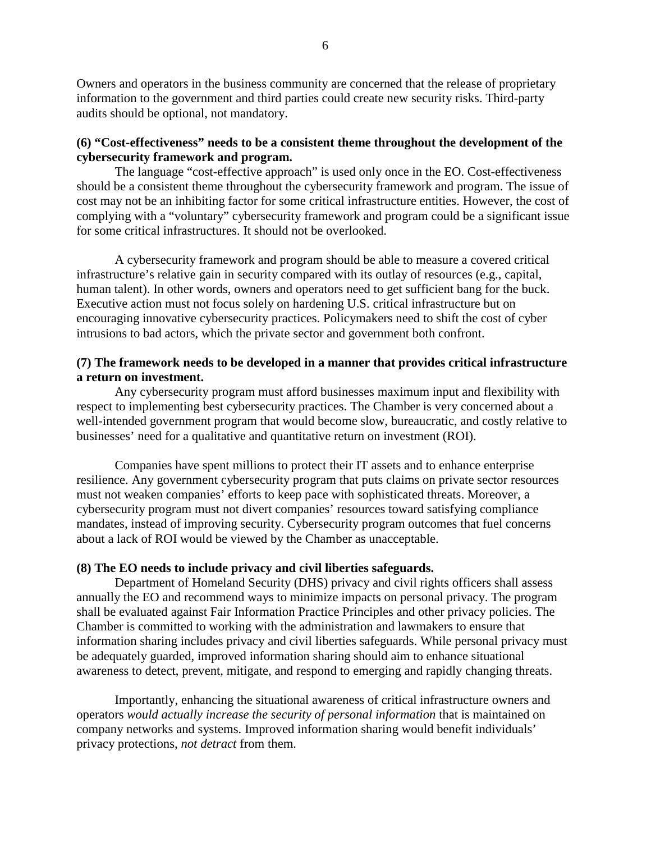Owners and operators in the business community are concerned that the release of proprietary information to the government and third parties could create new security risks. Third-party audits should be optional, not mandatory.

# **(6) "Cost-effectiveness" needs to be a consistent theme throughout the development of the cybersecurity framework and program.**

The language "cost-effective approach" is used only once in the EO. Cost-effectiveness should be a consistent theme throughout the cybersecurity framework and program. The issue of cost may not be an inhibiting factor for some critical infrastructure entities. However, the cost of complying with a "voluntary" cybersecurity framework and program could be a significant issue for some critical infrastructures. It should not be overlooked.

A cybersecurity framework and program should be able to measure a covered critical infrastructure's relative gain in security compared with its outlay of resources (e.g., capital, human talent). In other words, owners and operators need to get sufficient bang for the buck. Executive action must not focus solely on hardening U.S. critical infrastructure but on encouraging innovative cybersecurity practices. Policymakers need to shift the cost of cyber intrusions to bad actors, which the private sector and government both confront.

## **(7) The framework needs to be developed in a manner that provides critical infrastructure a return on investment.**

Any cybersecurity program must afford businesses maximum input and flexibility with respect to implementing best cybersecurity practices. The Chamber is very concerned about a well-intended government program that would become slow, bureaucratic, and costly relative to businesses' need for a qualitative and quantitative return on investment (ROI).

Companies have spent millions to protect their IT assets and to enhance enterprise resilience. Any government cybersecurity program that puts claims on private sector resources must not weaken companies' efforts to keep pace with sophisticated threats. Moreover, a cybersecurity program must not divert companies' resources toward satisfying compliance mandates, instead of improving security. Cybersecurity program outcomes that fuel concerns about a lack of ROI would be viewed by the Chamber as unacceptable.

### **(8) The EO needs to include privacy and civil liberties safeguards.**

Department of Homeland Security (DHS) privacy and civil rights officers shall assess annually the EO and recommend ways to minimize impacts on personal privacy. The program shall be evaluated against Fair Information Practice Principles and other privacy policies. The Chamber is committed to working with the administration and lawmakers to ensure that information sharing includes privacy and civil liberties safeguards. While personal privacy must be adequately guarded, improved information sharing should aim to enhance situational awareness to detect, prevent, mitigate, and respond to emerging and rapidly changing threats.

Importantly, enhancing the situational awareness of critical infrastructure owners and operators *would actually increase the security of personal information* that is maintained on company networks and systems. Improved information sharing would benefit individuals' privacy protections, *not detract* from them.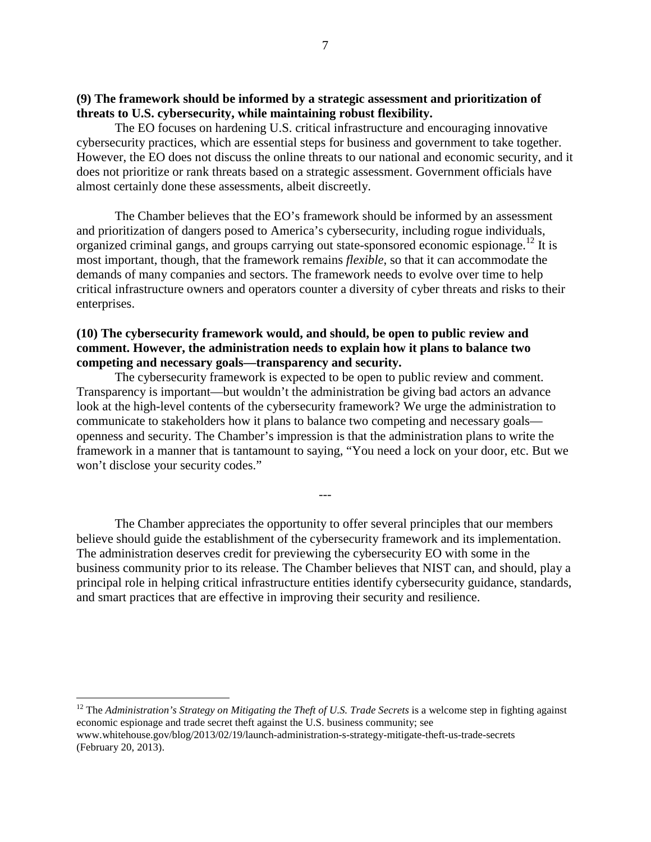### **(9) The framework should be informed by a strategic assessment and prioritization of threats to U.S. cybersecurity, while maintaining robust flexibility.**

The EO focuses on hardening U.S. critical infrastructure and encouraging innovative cybersecurity practices, which are essential steps for business and government to take together. However, the EO does not discuss the online threats to our national and economic security, and it does not prioritize or rank threats based on a strategic assessment. Government officials have almost certainly done these assessments, albeit discreetly.

The Chamber believes that the EO's framework should be informed by an assessment and prioritization of dangers posed to America's cybersecurity, including rogue individuals, organized criminal gangs, and groups carrying out state-sponsored economic espionage.[12](#page-6-0) It is most important, though, that the framework remains *flexible*, so that it can accommodate the demands of many companies and sectors. The framework needs to evolve over time to help critical infrastructure owners and operators counter a diversity of cyber threats and risks to their enterprises.

#### **(10) The cybersecurity framework would, and should, be open to public review and comment. However, the administration needs to explain how it plans to balance two competing and necessary goals—transparency and security.**

The cybersecurity framework is expected to be open to public review and comment. Transparency is important—but wouldn't the administration be giving bad actors an advance look at the high-level contents of the cybersecurity framework? We urge the administration to communicate to stakeholders how it plans to balance two competing and necessary goals openness and security. The Chamber's impression is that the administration plans to write the framework in a manner that is tantamount to saying, "You need a lock on your door, etc. But we won't disclose your security codes."

The Chamber appreciates the opportunity to offer several principles that our members believe should guide the establishment of the cybersecurity framework and its implementation. The administration deserves credit for previewing the cybersecurity EO with some in the business community prior to its release. The Chamber believes that NIST can, and should, play a principal role in helping critical infrastructure entities identify cybersecurity guidance, standards, and smart practices that are effective in improving their security and resilience.

---

<span id="page-6-0"></span><sup>12</sup> The *Administration's Strategy on Mitigating the Theft of U.S. Trade Secrets* is a welcome step in fighting against economic espionage and trade secret theft against the U.S. business community; see www.whitehouse.gov/blog/2013/02/19/launch-administration-s-strategy-mitigate-theft-us-trade-secrets (February 20, 2013).